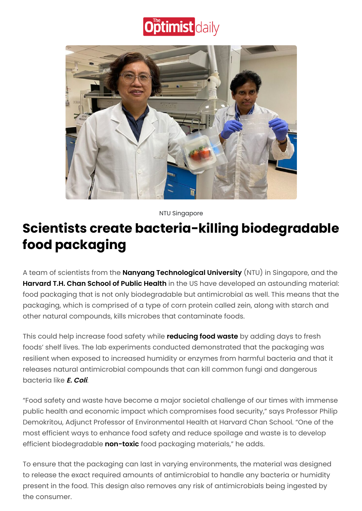## **Optimist daily**



NTU Singapore

## **Scientists create bacteria-killing biodegradable food packaging**

A team of scientists from the **Nanyang [Technological](https://www.ntu.edu.sg/) University** (NTU) in Singapore, and the **[Harvard](https://www.hsph.harvard.edu/) T.H. Chan School of Public Health** in the US have developed an astounding material: food packaging that is not only biodegradable but antimicrobial as well. This means that the packaging, which is comprised of a type of corn protein called zein, along with starch and other natural compounds, kills microbes that contaminate foods.

This could help increase food safety while **[reducing](https://www.optimistdaily.com/2021/11/minimize-your-food-waste-with-these-5-preservation-methods/) food waste** by adding days to fresh foods' shelf lives. The lab experiments conducted demonstrated that the packaging was resilient when exposed to increased humidity or enzymes from harmful bacteria and that it releases natural antimicrobial compounds that can kill common fungi and dangerous bacteria like **E. [Coli](https://www.optimistdaily.com/2021/01/these-invisible-bio-tags-could-track-down-the-source-of-e-coli-outbreaks/)**.

"Food safety and waste have become a major societal challenge of our times with immense public health and economic impact which compromises food security," says Professor Philip Demokritou, Adjunct Professor of Environmental Health at Harvard Chan School. "One of the most efficient ways to enhance food safety and reduce spoilage and waste is to develop efficient biodegradable **[non-toxic](https://www.optimistdaily.com/2020/05/how-to-choose-a-non-toxic-sunscreen-this-summer/)** food packaging materials," he adds.

To ensure that the packaging can last in varying environments, the material was designed to release the exact required amounts of antimicrobial to handle any bacteria or humidity present in the food. This design also removes any risk of antimicrobials being ingested by the consumer.